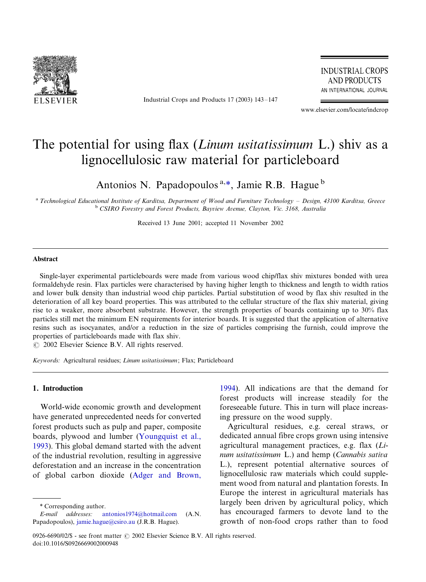

Industrial Crops and Products  $17$  (2003)  $143-147$ 

**INDUSTRIAL CROPS AND PRODUCTS** AN INTERNATIONAL JOURNAL

www.elsevier.com/locate/indcrop

# The potential for using flax (*Linum usitatissimum* L.) shiv as a lignocellulosic raw material for particleboard

Antonios N. Papadopoulos  $a, *$ , Jamie R.B. Hague  $b$ 

<sup>a</sup> Technological Educational Institute of Karditsa, Department of Wood and Furniture Technology - Design, 43100 Karditsa, Greece b CSIRO Forestry and Forest Products, Bayview Avenue, Clayton, Vic. 3168, Australia

Received 13 June 2001; accepted 11 November 2002

#### Abstract

Single-layer experimental particleboards were made from various wood chip/flax shiv mixtures bonded with urea formaldehyde resin. Flax particles were characterised by having higher length to thickness and length to width ratios and lower bulk density than industrial wood chip particles. Partial substitution of wood by flax shiv resulted in the deterioration of all key board properties. This was attributed to the cellular structure of the flax shiv material, giving rise to a weaker, more absorbent substrate. However, the strength properties of boards containing up to 30% flax particles still met the minimum EN requirements for interior boards. It is suggested that the application of alternative resins such as isocyanates, and/or a reduction in the size of particles comprising the furnish, could improve the properties of particleboards made with flax shiv.

 $\odot$  2002 Elsevier Science B.V. All rights reserved.

Keywords: Agricultural residues; Linum usitatissimum; Flax; Particleboard

# 1. Introduction

World-wide economic growth and development have generated unprecedented needs for converted forest products such as pulp and paper, composite boards, plywood and lumber [\(Youngquist et al.,](#page-4-0) [1993\)](#page-4-0). This global demand started with the advent of the industrial revolution, resulting in aggressive deforestation and an increase in the concentration of global carbon dioxide [\(Adger and Brown,](#page-4-0) [1994\)](#page-4-0). All indications are that the demand for forest products will increase steadily for the foreseeable future. This in turn will place increasing pressure on the wood supply.

Agricultural residues, e.g. cereal straws, or dedicated annual fibre crops grown using intensive agricultural management practices, e.g. flax (Linum usitatissimum L.) and hemp (Cannabis sativa L.), represent potential alternative sources of lignocellulosic raw materials which could supplement wood from natural and plantation forests. In Europe the interest in agricultural materials has largely been driven by agricultural policy, which has encouraged farmers to devote land to the growth of non-food crops rather than to food

<sup>\*</sup> Corresponding author.

E-mail addresses: [antonios1974@hotmail.com](mailto:antonios1974@hotmail.com) (A.N. Papadopoulos), [jamie.hague@csiro.au](mailto:jamie.hague@csiro.au) (J.R.B. Hague).

<sup>0926-6690/02/\$ -</sup> see front matter © 2002 Elsevier Science B.V. All rights reserved. doi:10.1016/S0926669002000948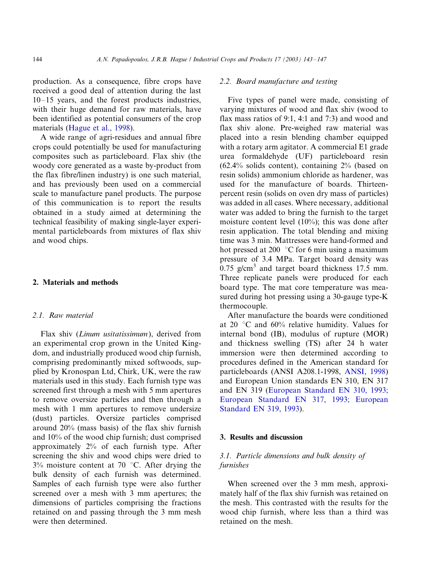production. As a consequence, fibre crops have received a good deal of attention during the last  $10-15$  years, and the forest products industries, with their huge demand for raw materials, have been identified as potential consumers of the crop materials [\(Hague et al., 1998](#page-4-0)).

A wide range of agri-residues and annual fibre crops could potentially be used for manufacturing composites such as particleboard. Flax shiv (the woody core generated as a waste by-product from the flax fibre/linen industry) is one such material, and has previously been used on a commercial scale to manufacture panel products. The purpose of this communication is to report the results obtained in a study aimed at determining the technical feasibility of making single-layer experimental particleboards from mixtures of flax shiv and wood chips.

### 2. Materials and methods

#### 2.1. Raw material

Flax shiv (Linum usitatissimum), derived from an experimental crop grown in the United Kingdom, and industrially produced wood chip furnish, comprising predominantly mixed softwoods, supplied by Kronospan Ltd, Chirk, UK, were the raw materials used in this study. Each furnish type was screened first through a mesh with 5 mm apertures to remove oversize particles and then through a mesh with 1 mm apertures to remove undersize (dust) particles. Oversize particles comprised around 20% (mass basis) of the flax shiv furnish and 10% of the wood chip furnish; dust comprised approximately 2% of each furnish type. After screening the shiv and wood chips were dried to  $3\%$  moisture content at 70 °C. After drying the bulk density of each furnish was determined. Samples of each furnish type were also further screened over a mesh with 3 mm apertures; the dimensions of particles comprising the fractions retained on and passing through the 3 mm mesh were then determined.

## 2.2. Board manufacture and testing

Five types of panel were made, consisting of varying mixtures of wood and flax shiv (wood to flax mass ratios of 9:1, 4:1 and 7:3) and wood and flax shiv alone. Pre-weighed raw material was placed into a resin blending chamber equipped with a rotary arm agitator. A commercial E1 grade urea formaldehyde (UF) particleboard resin (62.4% solids content), containing 2% (based on resin solids) ammonium chloride as hardener, was used for the manufacture of boards. Thirteenpercent resin (solids on oven dry mass of particles) was added in all cases. Where necessary, additional water was added to bring the furnish to the target moisture content level (10%); this was done after resin application. The total blending and mixing time was 3 min. Mattresses were hand-formed and hot pressed at 200  $\degree$ C for 6 min using a maximum pressure of 3.4 MPa. Target board density was 0.75 g/cm<sup>3</sup> and target board thickness 17.5 mm. Three replicate panels were produced for each board type. The mat core temperature was measured during hot pressing using a 30-gauge type-K thermocouple.

After manufacture the boards were conditioned at 20  $\degree$ C and 60% relative humidity. Values for internal bond (IB), modulus of rupture (MOR) and thickness swelling (TS) after 24 h water immersion were then determined according to procedures defined in the American standard for particleboards (ANSI A208.1-1998, [ANSI, 1998\)](#page-4-0) and European Union standards EN 310, EN 317 and EN 319 ([European Standard EN 310, 1993;](#page-4-0) [European Standard EN 317, 1993; European](#page-4-0) [Standard EN 319, 1993\)](#page-4-0).

## 3. Results and discussion

## 3.1. Particle dimensions and bulk density of furnishes

When screened over the 3 mm mesh, approximately half of the flax shiv furnish was retained on the mesh. This contrasted with the results for the wood chip furnish, where less than a third was retained on the mesh.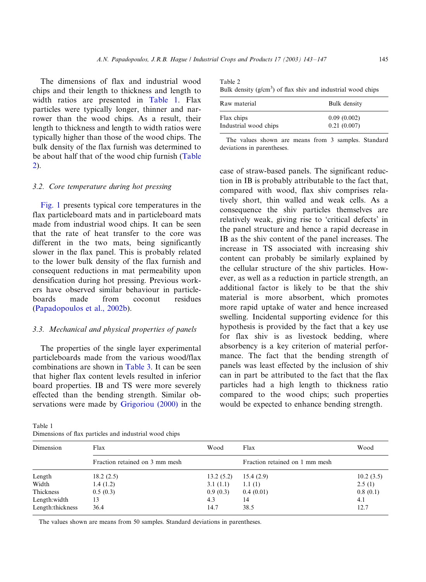The dimensions of flax and industrial wood chips and their length to thickness and length to width ratios are presented in Table 1. Flax particles were typically longer, thinner and narrower than the wood chips. As a result, their length to thickness and length to width ratios were typically higher than those of the wood chips. The bulk density of the flax furnish was determined to be about half that of the wood chip furnish (Table 2).

#### 3.2. Core temperature during hot pressing

[Fig. 1](#page-3-0) presents typical core temperatures in the flax particleboard mats and in particleboard mats made from industrial wood chips. It can be seen that the rate of heat transfer to the core was different in the two mats, being significantly slower in the flax panel. This is probably related to the lower bulk density of the flax furnish and consequent reductions in mat permeability upon densification during hot pressing. Previous workers have observed similar behaviour in particleboards made from coconut residues [\(Papadopoulos et al., 2002b\)](#page-4-0).

### 3.3. Mechanical and physical properties of panels

The properties of the single layer experimental particleboards made from the various wood/flax combinations are shown in [Table 3.](#page-3-0) It can be seen that higher flax content levels resulted in inferior board properties. IB and TS were more severely effected than the bending strength. Similar observations were made by [Grigoriou \(2000\)](#page-4-0) in the

Table 1 Dimensions of flax particles and industrial wood chips

| Table 2                                                       |  |  |  |
|---------------------------------------------------------------|--|--|--|
| Bulk density $(g/cm3)$ of flax shiv and industrial wood chips |  |  |  |

| Raw material          | Bulk density |
|-----------------------|--------------|
| Flax chips            | 0.09(0.002)  |
| Industrial wood chips | 0.21(0.007)  |

The values shown are means from 3 samples. Standard deviations in parentheses.

case of straw-based panels. The significant reduction in IB is probably attributable to the fact that, compared with wood, flax shiv comprises relatively short, thin walled and weak cells. As a consequence the shiv particles themselves are relatively weak, giving rise to 'critical defects' in the panel structure and hence a rapid decrease in IB as the shiv content of the panel increases. The increase in TS associated with increasing shiv content can probably be similarly explained by the cellular structure of the shiv particles. However, as well as a reduction in particle strength, an additional factor is likely to be that the shiv material is more absorbent, which promotes more rapid uptake of water and hence increased swelling. Incidental supporting evidence for this hypothesis is provided by the fact that a key use for flax shiv is as livestock bedding, where absorbency is a key criterion of material performance. The fact that the bending strength of panels was least effected by the inclusion of shiv can in part be attributed to the fact that the flax particles had a high length to thickness ratio compared to the wood chips; such properties would be expected to enhance bending strength.

| Dimension        | Flax                           | Wood      | Flax                           | Wood      |
|------------------|--------------------------------|-----------|--------------------------------|-----------|
|                  | Fraction retained on 3 mm mesh |           | Fraction retained on 1 mm mesh |           |
| Length           | 18.2(2.5)                      | 13.2(5.2) | 15.4(2.9)                      | 10.2(3.5) |
| Width            | 1.4(1.2)                       | 3.1(1.1)  | 1.1(1)                         | 2.5(1)    |
| Thickness        | 0.5(0.3)                       | 0.9(0.3)  | 0.4(0.01)                      | 0.8(0.1)  |
| Length:width     | 13                             | 4.3       | 14                             | 4.1       |
| Length:thickness | 36.4                           | 14.7      | 38.5                           | 12.7      |
|                  |                                |           |                                |           |

The values shown are means from 50 samples. Standard deviations in parentheses.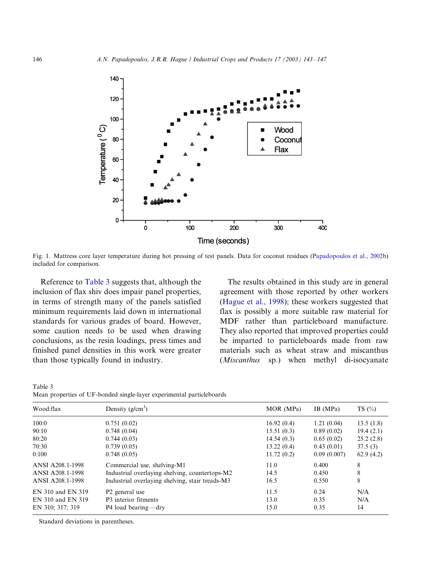<span id="page-3-0"></span>

Fig. 1. Mattress core layer temperature during hot pressing of test panels. Data for coconut residues [\(Papadopoulos et al., 2002b\)](#page-4-0) included for comparison.

Reference to Table 3 suggests that, although the inclusion of flax shiv does impair panel properties, in terms of strength many of the panels satisfied minimum requirements laid down in international standards for various grades of board. However, some caution needs to be used when drawing conclusions, as the resin loadings, press times and finished panel densities in this work were greater than those typically found in industry.

The results obtained in this study are in general agreement with those reported by other workers [\(Hague et al., 1998](#page-4-0)); these workers suggested that flax is possibly a more suitable raw material for MDF rather than particleboard manufacture. They also reported that improved properties could be imparted to particleboards made from raw materials such as wheat straw and miscanthus (*Miscanthus* sp.) when methyl di-isocyanate

Table 3 Mean properties of UF-bonded single-layer experimental particleboards

| Wood:flax         | Density $(g/cm^3)$                              | MOR (MPa)  | IB (MPa)    | $TS(\%)$  |
|-------------------|-------------------------------------------------|------------|-------------|-----------|
| 100:0             | 0.751(0.02)                                     | 16.92(0.4) | 1.21(0.04)  | 13.5(1.8) |
| 90:10             | 0.748(0.04)                                     | 15.51(0.3) | 0.89(0.02)  | 19.4(2.1) |
| 80:20             | 0.744(0.03)                                     | 14.54(0.3) | 0.65(0.02)  | 25.2(2.8) |
| 70:30             | 0.739(0.05)                                     | 13.22(0.4) | 0.43(0.01)  | 37.5(3)   |
| 0:100             | 0.748(0.05)                                     | 11.72(0.2) | 0.09(0.007) | 62.9(4.2) |
| ANSI A208.1-1998  | Commercial use, shelving-M1                     | 11.0       | 0.400       | 8         |
| ANSI A208.1-1998  | Industrial overlaying shelving, countertops-M2  | 14.5       | 0.450       | 8         |
| ANSI A208.1-1998  | Industrial overlaying shelving, stair treads-M3 | 16.5       | 0.550       | 8         |
| EN 310 and EN 319 | P <sub>2</sub> general use                      | 11.5       | 0.24        | N/A       |
| EN 310 and EN 319 | P3 interior fitments                            | 13.0       | 0.35        | N/A       |
| EN 310; 317; 319  | P4 load bearing—dry                             | 15.0       | 0.35        | 14        |

Standard deviations in parentheses.